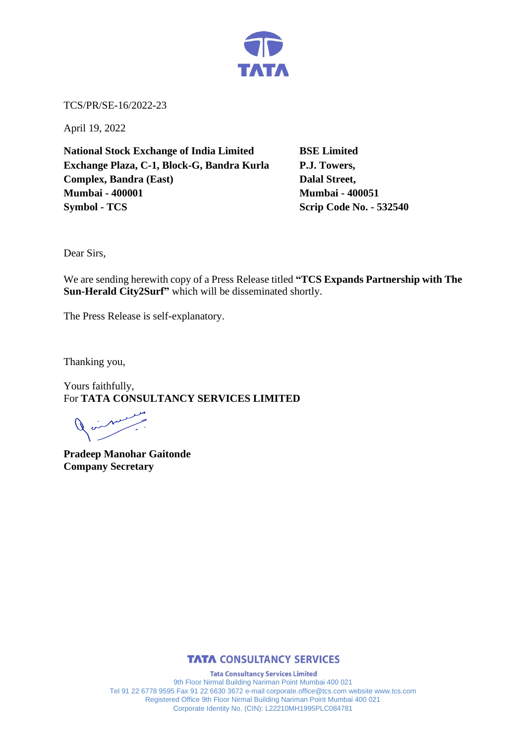

TCS/PR/SE-16/2022-23

April 19, 2022

**National Stock Exchange of India Limited BSE Limited Exchange Plaza, C-1, Block-G, Bandra Kurla P.J. Towers, Complex, Bandra (East)** Dalal Street, **Mumbai - 400001 Mumbai - 400051 Symbol - TCS Scrip Code No. - 532540** 

Dear Sirs,

We are sending herewith copy of a Press Release titled **"TCS Expands Partnership with The Sun-Herald City2Surf"** which will be disseminated shortly.

The Press Release is self-explanatory.

Thanking you,

Yours faithfully, For **TATA CONSULTANCY SERVICES LIMITED**

 $\overline{a}$ 

**Pradeep Manohar Gaitonde Company Secretary** 



**Tata Consultancy Services Limited** 9th Floor Nirmal Building Nariman Point Mumbai 400 021 Tel 91 22 6778 9595 Fax 91 22 6630 3672 e-mail corporate.office@tcs.com website www.tcs.com Registered Office 9th Floor Nirmal Building Nariman Point Mumbai 400 021 Corporate Identity No. (CIN): L22210MH1995PLC084781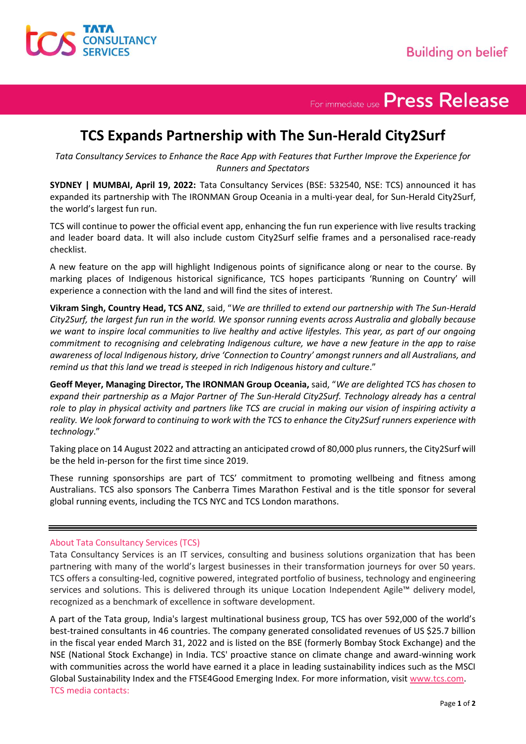

For immediate use Press Release

## **TCS Expands Partnership with The Sun-Herald City2Surf**

*Tata Consultancy Services to Enhance the Race App with Features that Further Improve the Experience for Runners and Spectators*

**SYDNEY | MUMBAI, April 19, 2022:** Tata Consultancy Services (BSE: 532540, NSE: TCS) announced it has expanded its partnership with The IRONMAN Group Oceania in a multi-year deal, for Sun-Herald City2Surf, the world's largest fun run.

TCS will continue to power the official event app, enhancing the fun run experience with live results tracking and leader board data. It will also include custom City2Surf selfie frames and a personalised race-ready checklist.

A new feature on the app will highlight Indigenous points of significance along or near to the course. By marking places of Indigenous historical significance, TCS hopes participants 'Running on Country' will experience a connection with the land and will find the sites of interest.

**Vikram Singh, Country Head, TCS ANZ**, said, "*We are thrilled to extend our partnership with The Sun-Herald City2Surf, the largest fun run in the world. We sponsor running events across Australia and globally because we want to inspire local communities to live healthy and active lifestyles. This year, as part of our ongoing commitment to recognising and celebrating Indigenous culture, we have a new feature in the app to raise awareness of local Indigenous history, drive 'Connection to Country' amongst runners and all Australians, and remind us that this land we tread is steeped in rich Indigenous history and culture*."

**Geoff Meyer, Managing Director, The IRONMAN Group Oceania,** said, "*We are delighted TCS has chosen to expand their partnership as a Major Partner of The Sun-Herald City2Surf. Technology already has a central role to play in physical activity and partners like TCS are crucial in making our vision of inspiring activity a reality. We look forward to continuing to work with the TCS to enhance the City2Surf runners experience with technology*."

Taking place on 14 August 2022 and attracting an anticipated crowd of 80,000 plus runners, the City2Surf will be the held in-person for the first time since 2019.

These running sponsorships are part of TCS' commitment to promoting wellbeing and fitness among Australians. TCS also sponsors The Canberra Times Marathon Festival and is the title sponsor for several global running events, including the TCS NYC and TCS London marathons.

## About Tata Consultancy Services (TCS)

Tata Consultancy Services is an IT services, consulting and business solutions organization that has been partnering with many of the world's largest businesses in their transformation journeys for over 50 years. TCS offers a consulting-led, cognitive powered, integrated portfolio of business, technology and engineering services and solutions. This is delivered through its unique Location Independent Agile™ delivery model, recognized as a benchmark of excellence in software development.

A part of the Tata group, India's largest multinational business group, TCS has over 592,000 of the world's best-trained consultants in 46 countries. The company generated consolidated revenues of US \$25.7 billion in the fiscal year ended March 31, 2022 and is listed on the BSE (formerly Bombay Stock Exchange) and the NSE (National Stock Exchange) in India. TCS' proactive stance on climate change and award-winning work with communities across the world have earned it a place in leading sustainability indices such as the MSCI Global Sustainability Index and the FTSE4Good Emerging Index. For more information, visit [www.tcs.com.](http://www.tcs.com/) TCS media contacts: